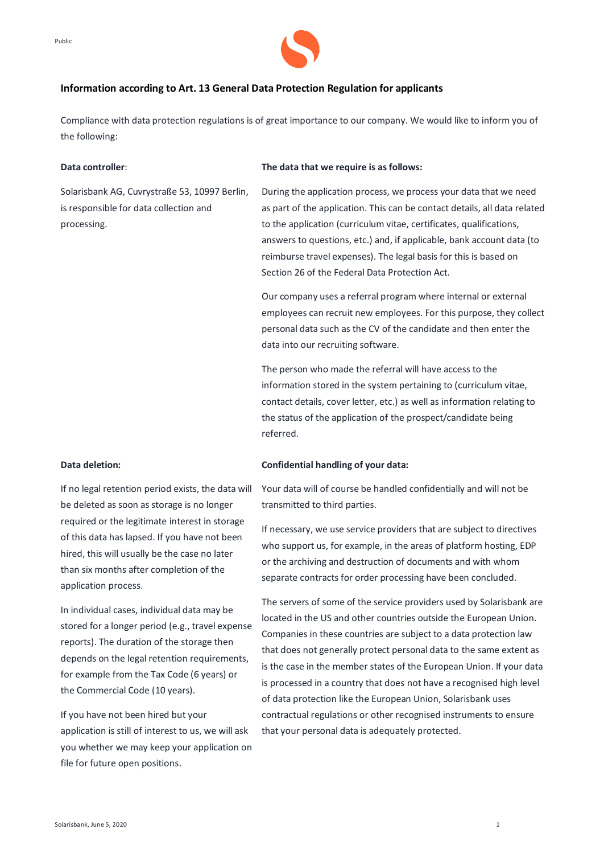



# **Information according to Art. 13 General Data Protection Regulation for applicants**

Compliance with data protection regulations is of great importance to our company. We would like to inform you of the following:

## **Data controller**:

Solarisbank AG, Cuvrystraße 53, 10997 Berlin, is responsible for data collection and processing.

#### **The data that we require is as follows:**

During the application process, we process your data that we need as part of the application. This can be contact details, all data related to the application (curriculum vitae, certificates, qualifications, answers to questions, etc.) and, if applicable, bank account data (to reimburse travel expenses). The legal basis for this is based on Section 26 of the Federal Data Protection Act.

Our company uses a referral program where internal or external employees can recruit new employees. For this purpose, they collect personal data such as the CV of the candidate and then enter the data into our recruiting software.

The person who made the referral will have access to the information stored in the system pertaining to (curriculum vitae, contact details, cover letter, etc.) as well as information relating to the status of the application of the prospect/candidate being referred.

### **Data deletion:**

If no legal retention period exists, the data will be deleted as soon as storage is no longer required or the legitimate interest in storage of this data has lapsed. If you have not been hired, this will usually be the case no later than six months after completion of the application process.

In individual cases, individual data may be stored for a longer period (e.g., travel expense reports). The duration of the storage then depends on the legal retention requirements, for example from the Tax Code (6 years) or the Commercial Code (10 years).

If you have not been hired but your application is still of interest to us, we will ask you whether we may keep your application on file for future open positions.

## **Confidential handling of your data:**

Your data will of course be handled confidentially and will not be transmitted to third parties.

If necessary, we use service providers that are subject to directives who support us, for example, in the areas of platform hosting, EDP or the archiving and destruction of documents and with whom separate contracts for order processing have been concluded.

The servers of some of the service providers used by Solarisbank are located in the US and other countries outside the European Union. Companies in these countries are subject to a data protection law that does not generally protect personal data to the same extent as is the case in the member states of the European Union. If your data is processed in a country that does not have a recognised high level of data protection like the European Union, Solarisbank uses contractual regulations or other recognised instruments to ensure that your personal data is adequately protected.